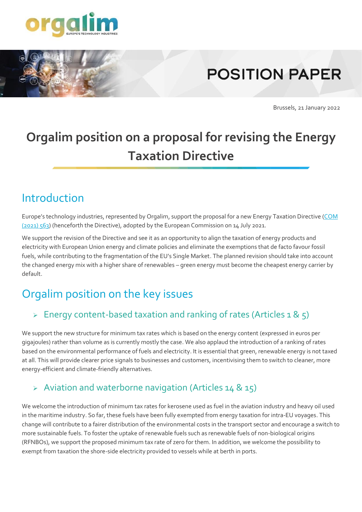

# **POSITION PAPER**

Brussels, 21 January 2022

## **Orgalim position on a proposal for revising the Energy Taxation Directive**

### Introduction

Europe's technology industries, represented by Orgalim, support the proposal for a new Energy Taxation Directive [\(COM](https://eur-lex.europa.eu/legal-content/en/TXT/?uri=CELEX%3A52021PC0563) [\(2021\)](https://eur-lex.europa.eu/legal-content/en/TXT/?uri=CELEX%3A52021PC0563) 563) (henceforth the Directive), adopted by the European Commission on 14 July 2021.

We support the revision of the Directive and see it as an opportunity to align the taxation of energy products and electricity with European Union energy and climate policies and eliminate the exemptions that de facto favour fossil fuels, while contributing to the fragmentation of the EU's Single Market. The planned revision should take into account the changed energy mix with a higher share of renewables – green energy must become the cheapest energy carrier by default.

### Orgalim position on the key issues

### $\triangleright$  Energy content-based taxation and ranking of rates (Articles 1 & 5)

We support the new structure for minimum tax rates which is based on the energy content (expressed in euros per gigajoules) rather than volume as is currently mostly the case. We also applaud the introduction of a ranking of rates based on the environmental performance of fuels and electricity. It is essential that green, renewable energy is not taxed at all. This will provide clearer price signals to businesses and customers, incentivising them to switch to cleaner, more energy-efficient and climate-friendly alternatives.

#### ➢ Aviation and waterborne navigation (Articles 14 & 15)

We welcome the introduction of minimum tax rates for kerosene used as fuel in the aviation industry and heavy oil used in the maritime industry. So far, these fuels have been fully exempted from energy taxation for intra-EU voyages. This change will contribute to a fairer distribution of the environmental costs in the transport sector and encourage a switch to more sustainable fuels. To foster the uptake of renewable fuels such as renewable fuels of non-biological origins (RFNBOs), we support the proposed minimum tax rate of zero for them. In addition, we welcome the possibility to exempt from taxation the shore-side electricity provided to vessels while at berth in ports.